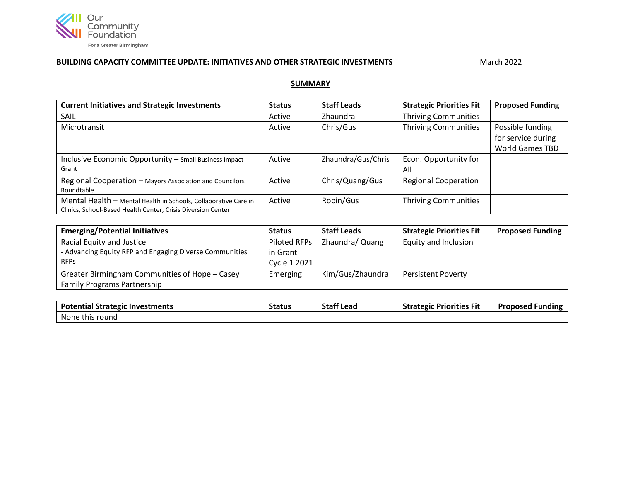

## **BUILDING CAPACITY COMMITTEE UPDATE: INITIATIVES AND OTHER STRATEGIC INVESTMENTS** Manner March 2022

## **SUMMARY**

| <b>Current Initiatives and Strategic Investments</b>            | <b>Status</b> | <b>Staff Leads</b> | <b>Strategic Priorities Fit</b> | <b>Proposed Funding</b> |
|-----------------------------------------------------------------|---------------|--------------------|---------------------------------|-------------------------|
| SAIL                                                            | Active        | <b>Zhaundra</b>    | <b>Thriving Communities</b>     |                         |
| Microtransit                                                    | Active        | Chris/Gus          | <b>Thriving Communities</b>     | Possible funding        |
|                                                                 |               |                    |                                 | for service during      |
|                                                                 |               |                    |                                 | <b>World Games TBD</b>  |
| Inclusive Economic Opportunity - Small Business Impact          | Active        | Zhaundra/Gus/Chris | Econ. Opportunity for           |                         |
| Grant                                                           |               |                    | All                             |                         |
| Regional Cooperation - Mayors Association and Councilors        | Active        | Chris/Quang/Gus    | <b>Regional Cooperation</b>     |                         |
| Roundtable                                                      |               |                    |                                 |                         |
| Mental Health - Mental Health in Schools, Collaborative Care in | Active        | Robin/Gus          | <b>Thriving Communities</b>     |                         |
| Clinics, School-Based Health Center, Crisis Diversion Center    |               |                    |                                 |                         |

| <b>Emerging/Potential Initiatives</b>                   | <b>Status</b> | <b>Staff Leads</b> | <b>Strategic Priorities Fit</b> | <b>Proposed Funding</b> |
|---------------------------------------------------------|---------------|--------------------|---------------------------------|-------------------------|
| Racial Equity and Justice                               | Piloted RFPs  | Zhaundra/ Quang    | Equity and Inclusion            |                         |
| - Advancing Equity RFP and Engaging Diverse Communities | in Grant      |                    |                                 |                         |
| <b>RFPs</b>                                             | Cycle 1 2021  |                    |                                 |                         |
| Greater Birmingham Communities of Hope - Casey          | Emerging      | Kim/Gus/Zhaundra   | <b>Persistent Poverty</b>       |                         |
| <b>Family Programs Partnership</b>                      |               |                    |                                 |                         |

| <b>Potential Strategic</b><br>: Investments | <b>Status</b> | <b>Staff Lead</b> | <b>Strategic Priorities Fit</b> | <b>Proposed Funding</b> |
|---------------------------------------------|---------------|-------------------|---------------------------------|-------------------------|
| None this round                             |               |                   |                                 |                         |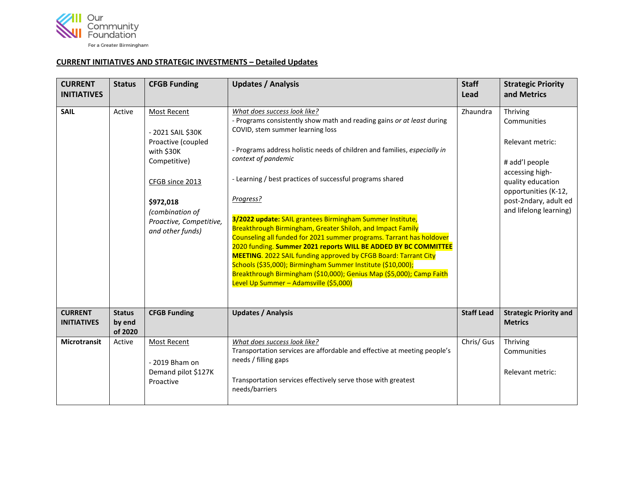

## **CURRENT INITIATIVES AND STRATEGIC INVESTMENTS – Detailed Updates**

| <b>CURRENT</b><br><b>INITIATIVES</b> | <b>Status</b>                      | <b>CFGB Funding</b>                                                                                                                                                                    | <b>Updates / Analysis</b>                                                                                                                                                                                                                                                                                                                                                                                                                                                                                                                                                                                                                                                                                                                                                                                                                                 | <b>Staff</b><br>Lead | <b>Strategic Priority</b><br>and Metrics                                                                                                                                         |
|--------------------------------------|------------------------------------|----------------------------------------------------------------------------------------------------------------------------------------------------------------------------------------|-----------------------------------------------------------------------------------------------------------------------------------------------------------------------------------------------------------------------------------------------------------------------------------------------------------------------------------------------------------------------------------------------------------------------------------------------------------------------------------------------------------------------------------------------------------------------------------------------------------------------------------------------------------------------------------------------------------------------------------------------------------------------------------------------------------------------------------------------------------|----------------------|----------------------------------------------------------------------------------------------------------------------------------------------------------------------------------|
| <b>SAIL</b>                          | Active                             | Most Recent<br>- 2021 SAIL \$30K<br>Proactive (coupled<br>with \$30K<br>Competitive)<br>CFGB since 2013<br>\$972,018<br>(combination of<br>Proactive, Competitive,<br>and other funds) | What does success look like?<br>- Programs consistently show math and reading gains or at least during<br>COVID, stem summer learning loss<br>- Programs address holistic needs of children and families, especially in<br>context of pandemic<br>- Learning / best practices of successful programs shared<br>Progress?<br>3/2022 update: SAIL grantees Birmingham Summer Institute,<br>Breakthrough Birmingham, Greater Shiloh, and Impact Family<br>Counseling all funded for 2021 summer programs. Tarrant has holdover<br>2020 funding. Summer 2021 reports WILL BE ADDED BY BC COMMITTEE<br><b>MEETING.</b> 2022 SAIL funding approved by CFGB Board: Tarrant City<br>Schools (\$35,000); Birmingham Summer Institute (\$10,000);<br>Breakthrough Birmingham (\$10,000); Genius Map (\$5,000); Camp Faith<br>Level Up Summer - Adamsville (\$5,000) | Zhaundra             | Thriving<br>Communities<br>Relevant metric:<br># add'l people<br>accessing high-<br>quality education<br>opportunities (K-12,<br>post-2ndary, adult ed<br>and lifelong learning) |
| <b>CURRENT</b><br><b>INITIATIVES</b> | <b>Status</b><br>by end<br>of 2020 | <b>CFGB Funding</b>                                                                                                                                                                    | <b>Updates / Analysis</b>                                                                                                                                                                                                                                                                                                                                                                                                                                                                                                                                                                                                                                                                                                                                                                                                                                 | <b>Staff Lead</b>    | <b>Strategic Priority and</b><br><b>Metrics</b>                                                                                                                                  |
| <b>Microtransit</b>                  | Active                             | <b>Most Recent</b><br>- 2019 Bham on<br>Demand pilot \$127K<br>Proactive                                                                                                               | What does success look like?<br>Transportation services are affordable and effective at meeting people's<br>needs / filling gaps<br>Transportation services effectively serve those with greatest<br>needs/barriers                                                                                                                                                                                                                                                                                                                                                                                                                                                                                                                                                                                                                                       | Chris/ Gus           | Thriving<br>Communities<br>Relevant metric:                                                                                                                                      |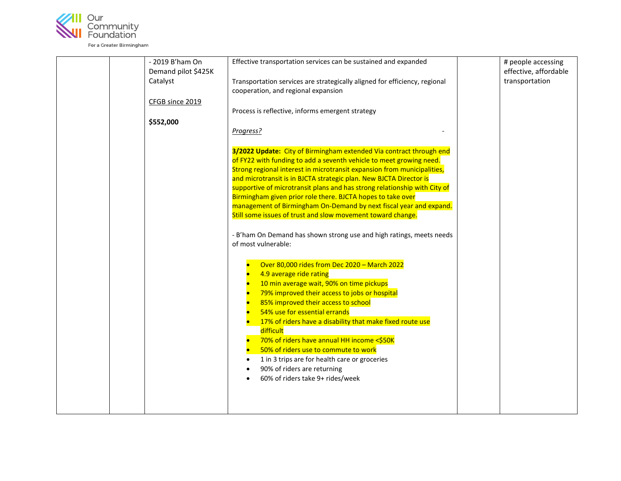

| - 2019 B'ham On     | Effective transportation services can be sustained and expanded            | # people accessing    |
|---------------------|----------------------------------------------------------------------------|-----------------------|
| Demand pilot \$425K |                                                                            | effective, affordable |
|                     |                                                                            | transportation        |
| Catalyst            | Transportation services are strategically aligned for efficiency, regional |                       |
|                     | cooperation, and regional expansion                                        |                       |
| CFGB since 2019     |                                                                            |                       |
|                     | Process is reflective, informs emergent strategy                           |                       |
| \$552,000           |                                                                            |                       |
|                     | Progress?                                                                  |                       |
|                     |                                                                            |                       |
|                     | 3/2022 Update: City of Birmingham extended Via contract through end        |                       |
|                     | of FY22 with funding to add a seventh vehicle to meet growing need.        |                       |
|                     | Strong regional interest in microtransit expansion from municipalities,    |                       |
|                     | and microtransit is in BJCTA strategic plan. New BJCTA Director is         |                       |
|                     | supportive of microtransit plans and has strong relationship with City of  |                       |
|                     | Birmingham given prior role there. BJCTA hopes to take over                |                       |
|                     | management of Birmingham On-Demand by next fiscal year and expand.         |                       |
|                     | Still some issues of trust and slow movement toward change.                |                       |
|                     |                                                                            |                       |
|                     | - B'ham On Demand has shown strong use and high ratings, meets needs       |                       |
|                     | of most vulnerable:                                                        |                       |
|                     |                                                                            |                       |
|                     | Over 80,000 rides from Dec 2020 - March 2022                               |                       |
|                     | 4.9 average ride rating                                                    |                       |
|                     | 10 min average wait, 90% on time pickups                                   |                       |
|                     | 79% improved their access to jobs or hospital                              |                       |
|                     | 85% improved their access to school                                        |                       |
|                     | 54% use for essential errands                                              |                       |
|                     | 17% of riders have a disability that make fixed route use                  |                       |
|                     | difficult                                                                  |                       |
|                     | 70% of riders have annual HH income <\$50K                                 |                       |
|                     | 50% of riders use to commute to work                                       |                       |
|                     | 1 in 3 trips are for health care or groceries<br>$\bullet$                 |                       |
|                     | 90% of riders are returning                                                |                       |
|                     | $\bullet$                                                                  |                       |
|                     | 60% of riders take 9+ rides/week                                           |                       |
|                     |                                                                            |                       |
|                     |                                                                            |                       |
|                     |                                                                            |                       |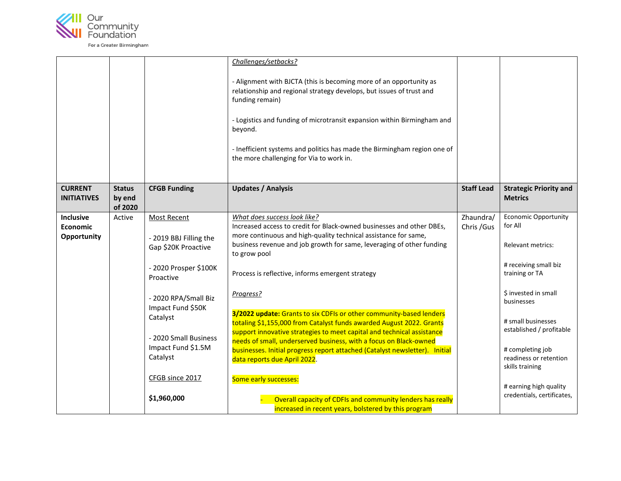

|                                                                            |                                                                                                                                                                                                                                                                 | relationship and regional strategy develops, but issues of trust and<br>funding remain)<br>- Logistics and funding of microtransit expansion within Birmingham and<br>beyond.<br>- Inefficient systems and politics has made the Birmingham region one of<br>the more challenging for Via to work in.                                                                                                                                                                                                                                                                                                                                                                                                                                                                                                                                                                                          |                          |                                                                                                                                                                                                                                                                                                                                |
|----------------------------------------------------------------------------|-----------------------------------------------------------------------------------------------------------------------------------------------------------------------------------------------------------------------------------------------------------------|------------------------------------------------------------------------------------------------------------------------------------------------------------------------------------------------------------------------------------------------------------------------------------------------------------------------------------------------------------------------------------------------------------------------------------------------------------------------------------------------------------------------------------------------------------------------------------------------------------------------------------------------------------------------------------------------------------------------------------------------------------------------------------------------------------------------------------------------------------------------------------------------|--------------------------|--------------------------------------------------------------------------------------------------------------------------------------------------------------------------------------------------------------------------------------------------------------------------------------------------------------------------------|
| <b>CURRENT</b><br><b>Status</b><br><b>INITIATIVES</b><br>by end<br>of 2020 | <b>CFGB Funding</b>                                                                                                                                                                                                                                             | <b>Updates / Analysis</b>                                                                                                                                                                                                                                                                                                                                                                                                                                                                                                                                                                                                                                                                                                                                                                                                                                                                      | <b>Staff Lead</b>        | <b>Strategic Priority and</b><br><b>Metrics</b>                                                                                                                                                                                                                                                                                |
| <b>Inclusive</b><br>Active<br><b>Economic</b><br>Opportunity               | <b>Most Recent</b><br>- 2019 BBJ Filling the<br>Gap \$20K Proactive<br>- 2020 Prosper \$100K<br>Proactive<br>- 2020 RPA/Small Biz<br>Impact Fund \$50K<br>Catalyst<br>- 2020 Small Business<br>Impact Fund \$1.5M<br>Catalyst<br>CFGB since 2017<br>\$1,960,000 | What does success look like?<br>Increased access to credit for Black-owned businesses and other DBEs,<br>more continuous and high-quality technical assistance for same,<br>business revenue and job growth for same, leveraging of other funding<br>to grow pool<br>Process is reflective, informs emergent strategy<br>Progress?<br>3/2022 update: Grants to six CDFIs or other community-based lenders<br>totaling \$1,155,000 from Catalyst funds awarded August 2022. Grants<br>support innovative strategies to meet capital and technical assistance<br>needs of small, underserved business, with a focus on Black-owned<br>businesses. Initial progress report attached (Catalyst newsletter). Initial<br>data reports due April 2022.<br>Some early successes:<br>Overall capacity of CDFIs and community lenders has really<br>increased in recent years, bolstered by this program | Zhaundra/<br>Chris / Gus | <b>Economic Opportunity</b><br>for All<br><b>Relevant metrics:</b><br># receiving small biz<br>training or TA<br>\$ invested in small<br>businesses<br># small businesses<br>established / profitable<br># completing job<br>readiness or retention<br>skills training<br># earning high quality<br>credentials, certificates, |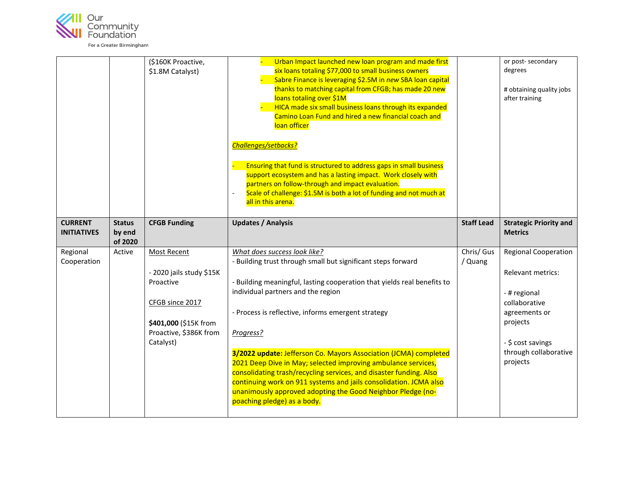

| (\$160K Proactive,<br>\$1.8M Catalyst)                                                                                   | Urban Impact launched new loan program and made first<br>six loans totaling \$77,000 to small business owners<br>Sabre Finance is leveraging \$2.5M in new SBA loan capital<br>thanks to matching capital from CFGB; has made 20 new<br>loans totaling over \$1M<br>HICA made six small business loans through its expanded<br>Camino Loan Fund and hired a new financial coach and<br>loan officer<br>Challenges/setbacks?<br>Ensuring that fund is structured to address gaps in small business<br>support ecosystem and has a lasting impact. Work closely with<br>partners on follow-through and impact evaluation.<br>Scale of challenge: \$1.5M is both a lot of funding and not much at<br>all in this arena. |                              | or post-secondary<br>degrees<br># obtaining quality jobs<br>after training                                                                                                      |
|--------------------------------------------------------------------------------------------------------------------------|----------------------------------------------------------------------------------------------------------------------------------------------------------------------------------------------------------------------------------------------------------------------------------------------------------------------------------------------------------------------------------------------------------------------------------------------------------------------------------------------------------------------------------------------------------------------------------------------------------------------------------------------------------------------------------------------------------------------|------------------------------|---------------------------------------------------------------------------------------------------------------------------------------------------------------------------------|
| <b>CFGB Funding</b>                                                                                                      | <b>Updates / Analysis</b>                                                                                                                                                                                                                                                                                                                                                                                                                                                                                                                                                                                                                                                                                            | <b>Staff Lead</b>            | <b>Strategic Priority and</b><br><b>Metrics</b>                                                                                                                                 |
| - 2020 jails study \$15K<br>Proactive<br>CFGB since 2017<br>\$401,000 (\$15K from<br>Proactive, \$386K from<br>Catalyst) | - Building trust through small but significant steps forward<br>- Building meaningful, lasting cooperation that yields real benefits to<br>individual partners and the region<br>- Process is reflective, informs emergent strategy<br>Progress?<br>3/2022 update: Jefferson Co. Mayors Association (JCMA) completed<br>2021 Deep Dive in May; selected improving ambulance services,                                                                                                                                                                                                                                                                                                                                | / Quang                      | <b>Regional Cooperation</b><br><b>Relevant metrics:</b><br>- # regional<br>collaborative<br>agreements or<br>projects<br>- \$ cost savings<br>through collaborative<br>projects |
|                                                                                                                          | Most Recent                                                                                                                                                                                                                                                                                                                                                                                                                                                                                                                                                                                                                                                                                                          | What does success look like? | Chris/ Gus<br>consolidating trash/recycling services, and disaster funding. Also                                                                                                |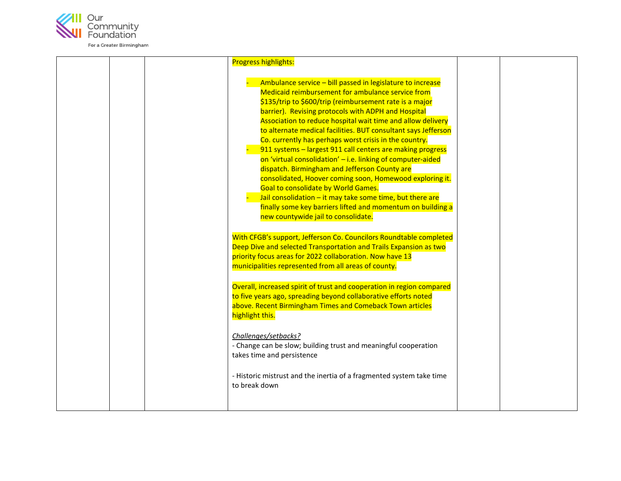

| <b>Progress highlights:</b>                                                                                                                                                                                                                                                                                                                                                                                                                                                                                                                                                                                                                                                                                                                                                                                                                                                      |  |
|----------------------------------------------------------------------------------------------------------------------------------------------------------------------------------------------------------------------------------------------------------------------------------------------------------------------------------------------------------------------------------------------------------------------------------------------------------------------------------------------------------------------------------------------------------------------------------------------------------------------------------------------------------------------------------------------------------------------------------------------------------------------------------------------------------------------------------------------------------------------------------|--|
| Ambulance service - bill passed in legislature to increase<br>Medicaid reimbursement for ambulance service from<br>\$135/trip to \$600/trip (reimbursement rate is a major<br>barrier). Revising protocols with ADPH and Hospital<br>Association to reduce hospital wait time and allow delivery<br>to alternate medical facilities. BUT consultant says Jefferson<br>Co. currently has perhaps worst crisis in the country.<br>911 systems - largest 911 call centers are making progress<br>on 'virtual consolidation' - i.e. linking of computer-aided<br>dispatch. Birmingham and Jefferson County are<br>consolidated, Hoover coming soon, Homewood exploring it.<br>Goal to consolidate by World Games.<br>Jail consolidation - it may take some time, but there are<br>finally some key barriers lifted and momentum on building a<br>new countywide jail to consolidate. |  |
| With CFGB's support, Jefferson Co. Councilors Roundtable completed<br>Deep Dive and selected Transportation and Trails Expansion as two<br>priority focus areas for 2022 collaboration. Now have 13<br>municipalities represented from all areas of county.                                                                                                                                                                                                                                                                                                                                                                                                                                                                                                                                                                                                                      |  |
| Overall, increased spirit of trust and cooperation in region compared<br>to five years ago, spreading beyond collaborative efforts noted<br>above. Recent Birmingham Times and Comeback Town articles<br>highlight this.                                                                                                                                                                                                                                                                                                                                                                                                                                                                                                                                                                                                                                                         |  |
| Challenges/setbacks?<br>- Change can be slow; building trust and meaningful cooperation<br>takes time and persistence                                                                                                                                                                                                                                                                                                                                                                                                                                                                                                                                                                                                                                                                                                                                                            |  |
| - Historic mistrust and the inertia of a fragmented system take time<br>to break down                                                                                                                                                                                                                                                                                                                                                                                                                                                                                                                                                                                                                                                                                                                                                                                            |  |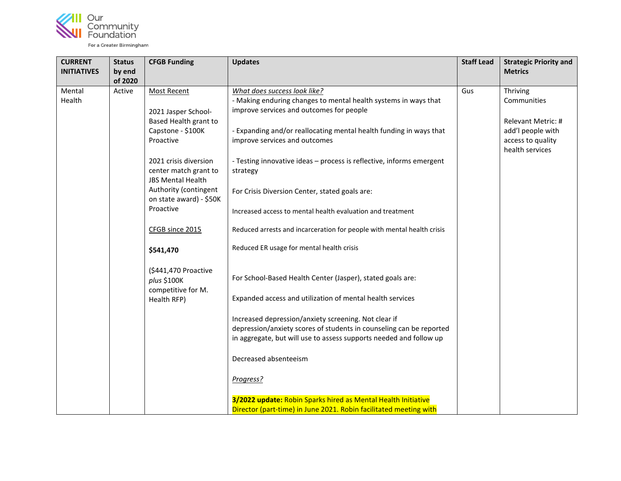

| <b>CURRENT</b><br><b>INITIATIVES</b> | <b>Status</b><br>by end | <b>CFGB Funding</b>                                                                                                                         | <b>Updates</b>                                                                                                                                                                                                                                                                                                                                                     | <b>Staff Lead</b> | <b>Strategic Priority and</b><br><b>Metrics</b>                                         |
|--------------------------------------|-------------------------|---------------------------------------------------------------------------------------------------------------------------------------------|--------------------------------------------------------------------------------------------------------------------------------------------------------------------------------------------------------------------------------------------------------------------------------------------------------------------------------------------------------------------|-------------------|-----------------------------------------------------------------------------------------|
| Mental<br>Health                     | of 2020<br>Active       | <b>Most Recent</b><br>2021 Jasper School-<br>Based Health grant to<br>Capstone - \$100K<br>Proactive                                        | What does success look like?<br>- Making enduring changes to mental health systems in ways that<br>improve services and outcomes for people<br>- Expanding and/or reallocating mental health funding in ways that<br>improve services and outcomes                                                                                                                 | Gus               | Thriving<br>Communities<br>Relevant Metric: #<br>add'l people with<br>access to quality |
|                                      |                         | 2021 crisis diversion<br>center match grant to<br><b>JBS Mental Health</b><br>Authority (contingent<br>on state award) - \$50K<br>Proactive | - Testing innovative ideas - process is reflective, informs emergent<br>strategy<br>For Crisis Diversion Center, stated goals are:<br>Increased access to mental health evaluation and treatment                                                                                                                                                                   |                   | health services                                                                         |
|                                      |                         | CFGB since 2015<br>\$541,470                                                                                                                | Reduced arrests and incarceration for people with mental health crisis<br>Reduced ER usage for mental health crisis                                                                                                                                                                                                                                                |                   |                                                                                         |
|                                      |                         | (\$441,470 Proactive<br>plus \$100K<br>competitive for M.<br>Health RFP)                                                                    | For School-Based Health Center (Jasper), stated goals are:<br>Expanded access and utilization of mental health services<br>Increased depression/anxiety screening. Not clear if<br>depression/anxiety scores of students in counseling can be reported<br>in aggregate, but will use to assess supports needed and follow up<br>Decreased absenteeism<br>Progress? |                   |                                                                                         |
|                                      |                         |                                                                                                                                             | 3/2022 update: Robin Sparks hired as Mental Health Initiative<br>Director (part-time) in June 2021. Robin facilitated meeting with                                                                                                                                                                                                                                 |                   |                                                                                         |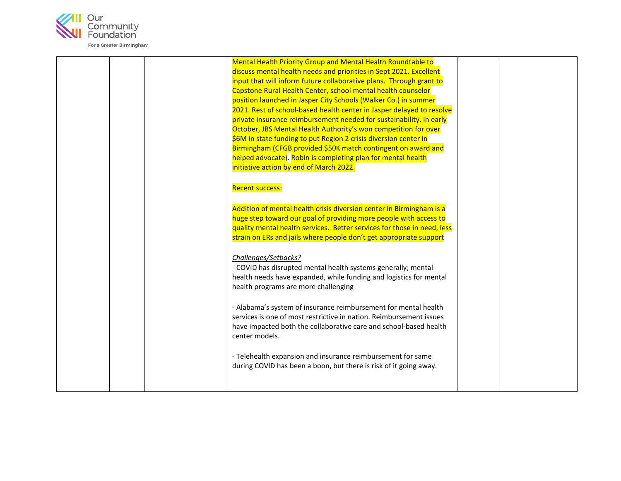

| Mental Health Priority Group and Mental Health Roundtable to<br>discuss mental health needs and priorities in Sept 2021. Excellent<br>input that will inform future collaborative plans. Through grant to<br>Capstone Rural Health Center, school mental health counselor<br>position launched in Jasper City Schools (Walker Co.) in summer<br>2021. Rest of school-based health center in Jasper delayed to resolve<br>private insurance reimbursement needed for sustainability. In early<br>October, JBS Mental Health Authority's won competition for over<br>\$6M in state funding to put Region 2 crisis diversion center in<br>Birmingham (CFGB provided \$50K match contingent on award and<br>helped advocate). Robin is completing plan for mental health<br>initiative action by end of March 2022.                                                                                  |  |
|--------------------------------------------------------------------------------------------------------------------------------------------------------------------------------------------------------------------------------------------------------------------------------------------------------------------------------------------------------------------------------------------------------------------------------------------------------------------------------------------------------------------------------------------------------------------------------------------------------------------------------------------------------------------------------------------------------------------------------------------------------------------------------------------------------------------------------------------------------------------------------------------------|--|
| <b>Recent success:</b><br>Addition of mental health crisis diversion center in Birmingham is a<br>huge step toward our goal of providing more people with access to<br>quality mental health services. Better services for those in need, less<br>strain on ERs and jails where people don't get appropriate support<br>Challenges/Setbacks?<br>- COVID has disrupted mental health systems generally; mental<br>health needs have expanded, while funding and logistics for mental<br>health programs are more challenging<br>- Alabama's system of insurance reimbursement for mental health<br>services is one of most restrictive in nation. Reimbursement issues<br>have impacted both the collaborative care and school-based health<br>center models.<br>- Telehealth expansion and insurance reimbursement for same<br>during COVID has been a boon, but there is risk of it going away. |  |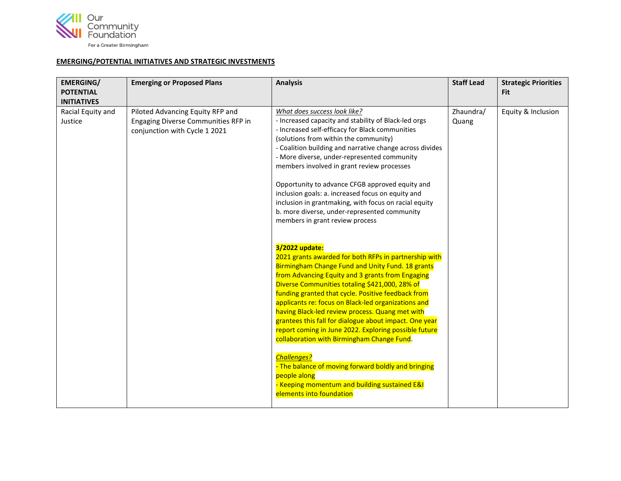

## **EMERGING/POTENTIAL INITIATIVES AND STRATEGIC INVESTMENTS**

| <b>EMERGING/</b><br><b>POTENTIAL</b><br><b>INITIATIVES</b> | <b>Emerging or Proposed Plans</b>                                                                        | <b>Analysis</b>                                                                                                                                                                                                                                                                                                                                                                                                                                                                                                                                                                                                                                                                                                                                                                                                                                                                                                                                                                                                                                                                                                                                                                                                                                                                                                                               | <b>Staff Lead</b>  | <b>Strategic Priorities</b><br><b>Fit</b> |
|------------------------------------------------------------|----------------------------------------------------------------------------------------------------------|-----------------------------------------------------------------------------------------------------------------------------------------------------------------------------------------------------------------------------------------------------------------------------------------------------------------------------------------------------------------------------------------------------------------------------------------------------------------------------------------------------------------------------------------------------------------------------------------------------------------------------------------------------------------------------------------------------------------------------------------------------------------------------------------------------------------------------------------------------------------------------------------------------------------------------------------------------------------------------------------------------------------------------------------------------------------------------------------------------------------------------------------------------------------------------------------------------------------------------------------------------------------------------------------------------------------------------------------------|--------------------|-------------------------------------------|
| Racial Equity and<br>Justice                               | Piloted Advancing Equity RFP and<br>Engaging Diverse Communities RFP in<br>conjunction with Cycle 1 2021 | What does success look like?<br>- Increased capacity and stability of Black-led orgs<br>- Increased self-efficacy for Black communities<br>(solutions from within the community)<br>- Coalition building and narrative change across divides<br>- More diverse, under-represented community<br>members involved in grant review processes<br>Opportunity to advance CFGB approved equity and<br>inclusion goals: a. increased focus on equity and<br>inclusion in grantmaking, with focus on racial equity<br>b. more diverse, under-represented community<br>members in grant review process<br>3/2022 update:<br>2021 grants awarded for both RFPs in partnership with<br>Birmingham Change Fund and Unity Fund. 18 grants<br>from Advancing Equity and 3 grants from Engaging<br>Diverse Communities totaling \$421,000, 28% of<br>funding granted that cycle. Positive feedback from<br>applicants re: focus on Black-led organizations and<br>having Black-led review process. Quang met with<br>grantees this fall for dialogue about impact. One year<br>report coming in June 2022. Exploring possible future<br>collaboration with Birmingham Change Fund.<br><b>Challenges?</b><br>- The balance of moving forward boldly and bringing<br>people along<br>- Keeping momentum and building sustained E&I<br>elements into foundation | Zhaundra/<br>Quang | Equity & Inclusion                        |